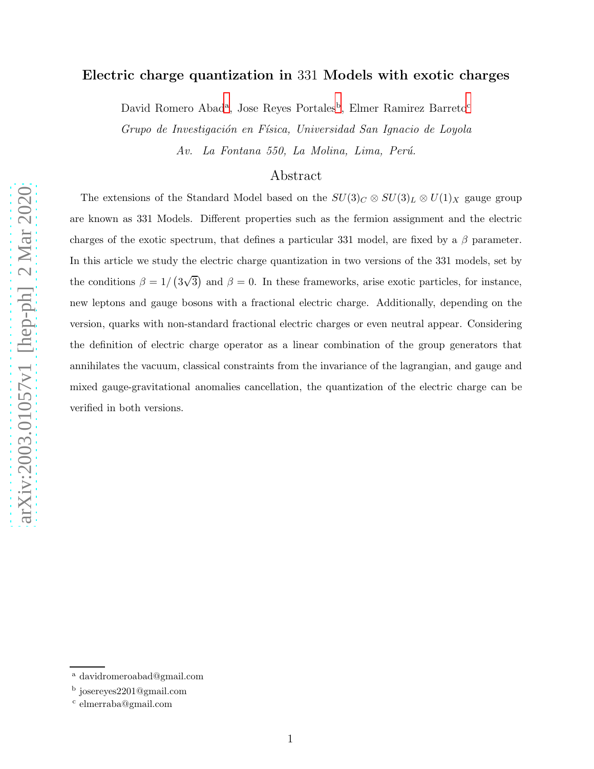## Electric charge quantization in 331 Models with exotic charges

D[a](#page-0-0)vid Romero A[b](#page-0-1)ad<sup>a</sup>, Jose Reyes Portales<sup>b</sup>, Elmer Ramirez Barreto<sup>[c](#page-0-2)</sup>

Grupo de Investigación en Física, Universidad San Ignacio de Loyola Av. La Fontana 550, La Molina, Lima, Perú.

## Abstract

The extensions of the Standard Model based on the  $SU(3)_C \otimes SU(3)_L \otimes U(1)_X$  gauge group are known as 331 Models. Different properties such as the fermion assignment and the electric charges of the exotic spectrum, that defines a particular 331 model, are fixed by a  $\beta$  parameter. In this article we study the electric charge quantization in two versions of the 331 models, set by the conditions  $\beta = 1/(3\sqrt{3})$  and  $\beta = 0$ . In these frameworks, arise exotic particles, for instance, new leptons and gauge bosons with a fractional electric charge. Additionally, depending on the version, quarks with non-standard fractional electric charges or even neutral appear. Considering the definition of electric charge operator as a linear combination of the group generators that annihilates the vacuum, classical constraints from the invariance of the lagrangian, and gauge and mixed gauge-gravitational anomalies cancellation, the quantization of the electric charge can be verified in both versions.

<sup>a</sup> davidromeroabad@gmail.com

<span id="page-0-0"></span><sup>&</sup>lt;sup>b</sup> josereyes2201@gmail.com

<span id="page-0-2"></span><span id="page-0-1"></span>c elmerraba@gmail.com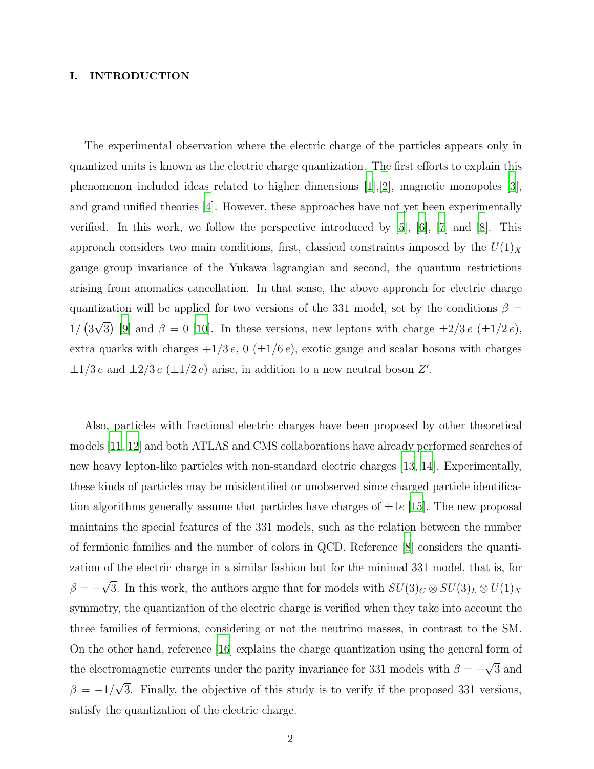#### I. INTRODUCTION

The experimental observation where the electric charge of the particles appears only in quantized units is known as the electric charge quantization. The first efforts to explain this phenomenon included ideas related to higher dimensions [\[1](#page-10-0)],[\[2\]](#page-10-1), magnetic monopoles [\[3\]](#page-10-2), and grand unified theories [\[4\]](#page-10-3). However, these approaches have not yet been experimentally verified. In this work, we follow the perspective introduced by [\[5](#page-10-4)], [\[6\]](#page-11-0), [\[7\]](#page-11-1) and [\[8](#page-11-2)]. This approach considers two main conditions, first, classical constraints imposed by the  $U(1)_X$ gauge group invariance of the Yukawa lagrangian and second, the quantum restrictions arising from anomalies cancellation. In that sense, the above approach for electric charge quantization will be applied for two versions of the 331 model, set by the conditions  $\beta =$ 1/  $(3\sqrt{3})$  [\[9\]](#page-11-3) and  $\beta = 0$  [\[10\]](#page-11-4). In these versions, new leptons with charge  $\pm 2/3 e$   $(\pm 1/2 e)$ , extra quarks with charges  $+1/3 e$ , 0 ( $\pm 1/6 e$ ), exotic gauge and scalar bosons with charges  $\pm 1/3 e$  and  $\pm 2/3 e (\pm 1/2 e)$  arise, in addition to a new neutral boson  $Z'$ .

Also, particles with fractional electric charges have been proposed by other theoretical models [\[11](#page-11-5), [12](#page-11-6)] and both ATLAS and CMS collaborations have already performed searches of new heavy lepton-like particles with non-standard electric charges [\[13](#page-11-7), [14](#page-11-8)]. Experimentally, these kinds of particles may be misidentified or unobserved since charged particle identification algorithms generally assume that particles have charges of  $\pm 1e$  [\[15\]](#page-11-9). The new proposal maintains the special features of the 331 models, such as the relation between the number of fermionic families and the number of colors in QCD. Reference [\[8\]](#page-11-2) considers the quantization of the electric charge in a similar fashion but for the minimal 331 model, that is, for  $\beta = -\sqrt{3}$ . In this work, the authors argue that for models with  $SU(3)_C \otimes SU(3)_L \otimes U(1)_X$ symmetry, the quantization of the electric charge is verified when they take into account the three families of fermions, considering or not the neutrino masses, in contrast to the SM. On the other hand, reference [\[16\]](#page-11-10) explains the charge quantization using the general form of the electromagnetic currents under the parity invariance for 331 models with  $\beta = -\sqrt{3}$  and  $\beta = -1/\sqrt{3}$ . Finally, the objective of this study is to verify if the proposed 331 versions, satisfy the quantization of the electric charge.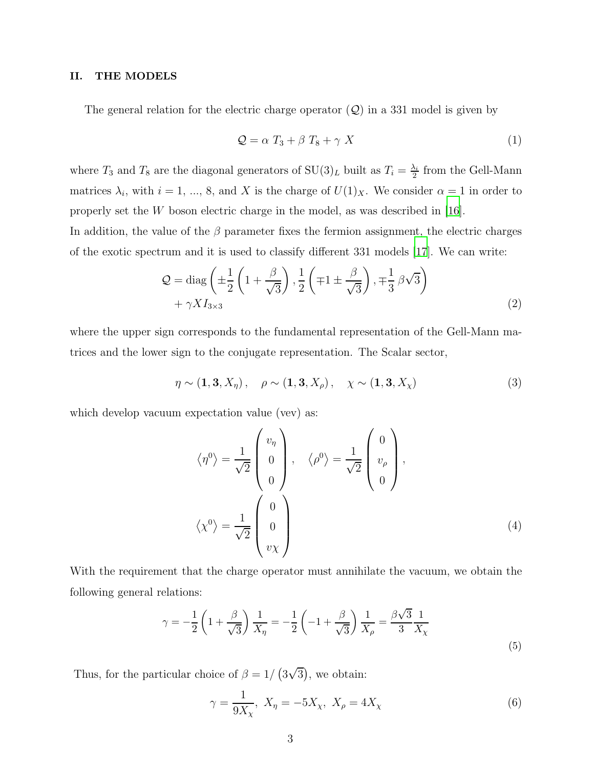### II. THE MODELS

The general relation for the electric charge operator  $(Q)$  in a 331 model is given by

$$
Q = \alpha T_3 + \beta T_8 + \gamma X \tag{1}
$$

where  $T_3$  and  $T_8$  are the diagonal generators of  $SU(3)_L$  built as  $T_i = \frac{\lambda_i}{2}$  $\frac{\lambda_i}{2}$  from the Gell-Mann matrices  $\lambda_i$ , with  $i = 1, ..., 8$ , and X is the charge of  $U(1)_X$ . We consider  $\alpha = 1$  in order to properly set the W boson electric charge in the model, as was described in [\[16\]](#page-11-10).

In addition, the value of the  $\beta$  parameter fixes the fermion assignment, the electric charges of the exotic spectrum and it is used to classify different 331 models [\[17\]](#page-11-11). We can write:

<span id="page-2-1"></span>
$$
Q = \text{diag}\left(\pm\frac{1}{2}\left(1+\frac{\beta}{\sqrt{3}}\right), \frac{1}{2}\left(\mp1\pm\frac{\beta}{\sqrt{3}}\right), \mp\frac{1}{3}\beta\sqrt{3}\right) + \gamma X I_{3\times 3}
$$
\n(2)

where the upper sign corresponds to the fundamental representation of the Gell-Mann matrices and the lower sign to the conjugate representation. The Scalar sector,

$$
\eta \sim (1, 3, X_{\eta}), \quad \rho \sim (1, 3, X_{\rho}), \quad \chi \sim (1, 3, X_{\chi})
$$
\n(3)

which develop vacuum expectation value (vev) as:

$$
\langle \eta^0 \rangle = \frac{1}{\sqrt{2}} \begin{pmatrix} v_{\eta} \\ 0 \\ 0 \\ 0 \end{pmatrix}, \quad \langle \rho^0 \rangle = \frac{1}{\sqrt{2}} \begin{pmatrix} 0 \\ v_{\rho} \\ 0 \end{pmatrix},
$$

$$
\langle \chi^0 \rangle = \frac{1}{\sqrt{2}} \begin{pmatrix} 0 \\ 0 \\ v_{\chi} \end{pmatrix}
$$
(4)

With the requirement that the charge operator must annihilate the vacuum, we obtain the following general relations:

$$
\gamma = -\frac{1}{2} \left( 1 + \frac{\beta}{\sqrt{3}} \right) \frac{1}{X_{\eta}} = -\frac{1}{2} \left( -1 + \frac{\beta}{\sqrt{3}} \right) \frac{1}{X_{\rho}} = \frac{\beta \sqrt{3}}{3} \frac{1}{X_{\chi}}
$$
\n(5)

Thus, for the particular choice of  $\beta = 1/(3\sqrt{3})$ , we obtain:

<span id="page-2-0"></span>
$$
\gamma = \frac{1}{9X_{\chi}}, \ X_{\eta} = -5X_{\chi}, \ X_{\rho} = 4X_{\chi} \tag{6}
$$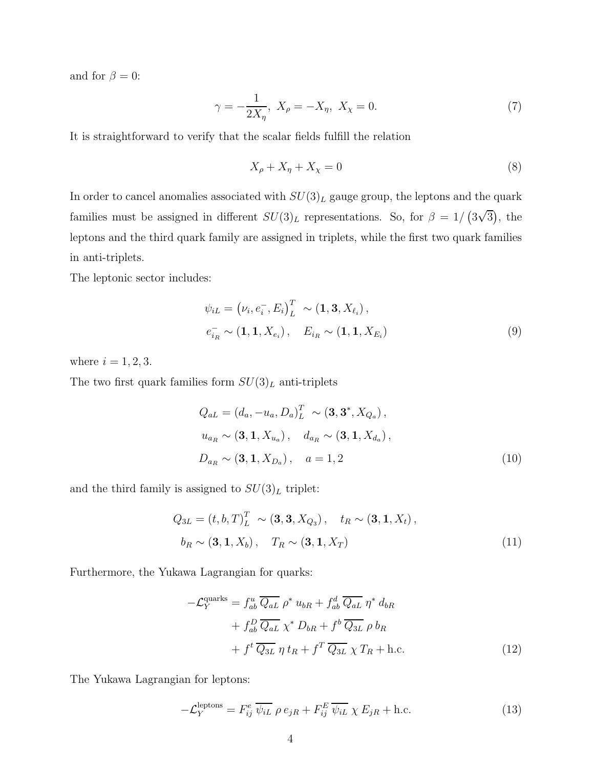and for  $\beta = 0$ :

<span id="page-3-0"></span>
$$
\gamma = -\frac{1}{2X_{\eta}}, \ X_{\rho} = -X_{\eta}, \ X_{\chi} = 0. \tag{7}
$$

It is straightforward to verify that the scalar fields fulfill the relation

<span id="page-3-1"></span>
$$
X_{\rho} + X_{\eta} + X_{\chi} = 0 \tag{8}
$$

In order to cancel anomalies associated with  $SU(3)_L$  gauge group, the leptons and the quark families must be assigned in different  $SU(3)<sub>L</sub>$  representations. So, for  $\beta = 1/(3\sqrt{3})$ , the leptons and the third quark family are assigned in triplets, while the first two quark families in anti-triplets.

The leptonic sector includes:

$$
\psi_{iL} = (\nu_i, e_i^-, E_i)^T_L \sim (\mathbf{1}, \mathbf{3}, X_{\ell_i}),
$$
  
\n
$$
e_{i_R}^- \sim (\mathbf{1}, \mathbf{1}, X_{e_i}), \quad E_{i_R} \sim (\mathbf{1}, \mathbf{1}, X_{E_i})
$$
\n(9)

where  $i = 1, 2, 3$ .

The two first quark families form  $SU(3)_L$  anti-triplets

$$
Q_{aL} = (d_a, -u_a, D_a)^T_L \sim (\mathbf{3}, \mathbf{3}^*, X_{Q_a}),
$$
  
\n
$$
u_{a_R} \sim (\mathbf{3}, \mathbf{1}, X_{u_a}), \quad d_{a_R} \sim (\mathbf{3}, \mathbf{1}, X_{d_a}),
$$
  
\n
$$
D_{a_R} \sim (\mathbf{3}, \mathbf{1}, X_{D_a}), \quad a = 1, 2
$$
\n(10)

and the third family is assigned to  $SU(3)_L$  triplet:

$$
Q_{3L} = (t, b, T)^T_L \sim (\mathbf{3}, \mathbf{3}, X_{Q_3}), \quad t_R \sim (\mathbf{3}, \mathbf{1}, X_t),
$$

$$
b_R \sim (\mathbf{3}, \mathbf{1}, X_b), \quad T_R \sim (\mathbf{3}, \mathbf{1}, X_T)
$$
(11)

Furthermore, the Yukawa Lagrangian for quarks:

$$
-\mathcal{L}_Y^{\text{quarks}} = f_{ab}^u \overline{Q_{aL}} \rho^* u_{bR} + f_{ab}^d \overline{Q_{aL}} \eta^* d_{bR}
$$
  
+ 
$$
f_{ab}^D \overline{Q_{aL}} \chi^* D_{bR} + f^b \overline{Q_{3L}} \rho b_R
$$
  
+ 
$$
f^t \overline{Q_{3L}} \eta t_R + f^T \overline{Q_{3L}} \chi T_R + \text{h.c.}
$$
 (12)

The Yukawa Lagrangian for leptons:

$$
-\mathcal{L}_Y^{\text{leptons}} = F_{ij}^e \overline{\psi_{iL}} \rho e_{jR} + F_{ij}^E \overline{\psi_{iL}} \chi E_{jR} + \text{h.c.}
$$
 (13)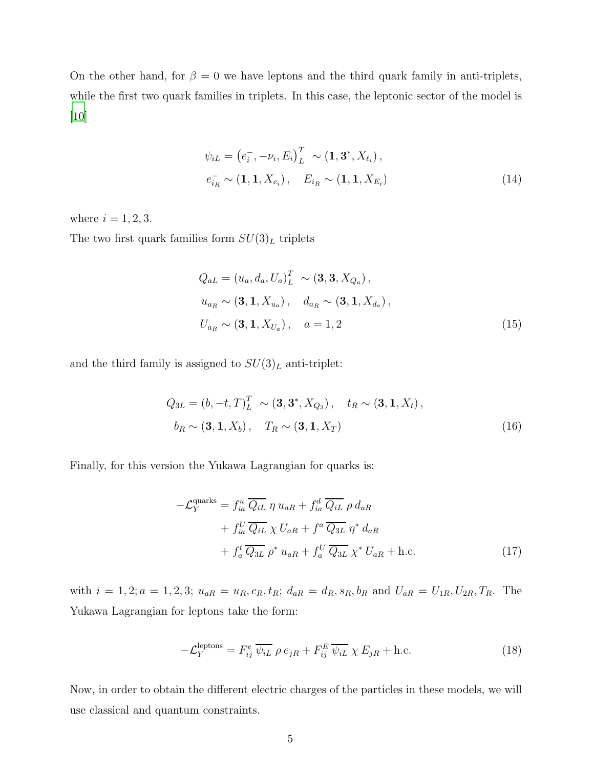On the other hand, for  $\beta = 0$  we have leptons and the third quark family in anti-triplets, while the first two quark families in triplets. In this case, the leptonic sector of the model is [\[10\]](#page-11-4)

$$
\psi_{iL} = (e_i^-, -\nu_i, E_i)_L^T \sim (\mathbf{1}, \mathbf{3}^*, X_{\ell_i}),
$$
  
\n
$$
e_{i_R}^- \sim (\mathbf{1}, \mathbf{1}, X_{e_i}), \quad E_{i_R} \sim (\mathbf{1}, \mathbf{1}, X_{E_i})
$$
\n(14)

where  $i = 1, 2, 3$ .

The two first quark families form  $SU(3)_L$  triplets

$$
Q_{aL} = (u_a, d_a, U_a)_{L}^{T} \sim (\mathbf{3}, \mathbf{3}, X_{Q_a}),
$$
  
\n
$$
u_{a_R} \sim (\mathbf{3}, \mathbf{1}, X_{u_a}), \quad d_{a_R} \sim (\mathbf{3}, \mathbf{1}, X_{d_a}),
$$
  
\n
$$
U_{a_R} \sim (\mathbf{3}, \mathbf{1}, X_{U_a}), \quad a = 1, 2
$$
\n(15)

and the third family is assigned to  $SU(3)_L$  anti-triplet:

$$
Q_{3L} = (b, -t, T)^T_L \sim (\mathbf{3}, \mathbf{3}^*, X_{Q_3}), \quad t_R \sim (\mathbf{3}, \mathbf{1}, X_t),
$$
  

$$
b_R \sim (\mathbf{3}, \mathbf{1}, X_b), \quad T_R \sim (\mathbf{3}, \mathbf{1}, X_T)
$$
 (16)

Finally, for this version the Yukawa Lagrangian for quarks is:

$$
-\mathcal{L}_Y^{\text{quarks}} = f_{ia}^u \overline{Q_{iL}} \eta u_{aR} + f_{ia}^d \overline{Q_{iL}} \rho d_{aR} + f_{ia}^U \overline{Q_{iL}} \chi U_{aR} + f^a \overline{Q_{3L}} \eta^* d_{aR} + f_a^t \overline{Q_{3L}} \rho^* u_{aR} + f_a^U \overline{Q_{3L}} \chi^* U_{aR} + \text{h.c.}
$$
 (17)

with  $i = 1, 2; a = 1, 2, 3; u_{aR} = u_R, c_R, t_R; d_{aR} = d_R, s_R, b_R$  and  $U_{aR} = U_{1R}, U_{2R}, T_R$ . The Yukawa Lagrangian for leptons take the form:

$$
-\mathcal{L}_Y^{\text{leptons}} = F_{ij}^e \overline{\psi_{iL}} \rho e_{jR} + F_{ij}^E \overline{\psi_{iL}} \chi E_{jR} + \text{h.c.}
$$
 (18)

Now, in order to obtain the different electric charges of the particles in these models, we will use classical and quantum constraints.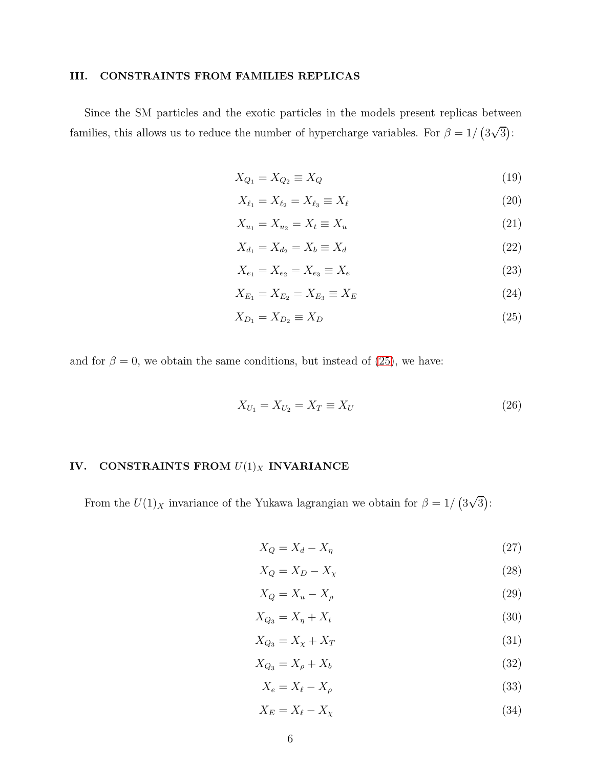### III. CONSTRAINTS FROM FAMILIES REPLICAS

Since the SM particles and the exotic particles in the models present replicas between families, this allows us to reduce the number of hypercharge variables. For  $\beta = 1/(3\sqrt{3})$ :

<span id="page-5-0"></span>
$$
X_{Q_1} = X_{Q_2} \equiv X_Q \tag{19}
$$

$$
X_{\ell_1} = X_{\ell_2} = X_{\ell_3} \equiv X_{\ell} \tag{20}
$$

$$
X_{u_1} = X_{u_2} = X_t \equiv X_u \tag{21}
$$

$$
X_{d_1} = X_{d_2} = X_b \equiv X_d \tag{22}
$$

$$
X_{e_1} = X_{e_2} = X_{e_3} \equiv X_e \tag{23}
$$

$$
X_{E_1} = X_{E_2} = X_{E_3} \equiv X_E \tag{24}
$$

$$
X_{D_1} = X_{D_2} \equiv X_D \tag{25}
$$

and for  $\beta = 0$ , we obtain the same conditions, but instead of [\(25\)](#page-5-0), we have:

$$
X_{U_1} = X_{U_2} = X_T \equiv X_U \tag{26}
$$

# IV. CONSTRAINTS FROM  $U(1)_X$  INVARIANCE

From the  $U(1)_X$  invariance of the Yukawa lagrangian we obtain for  $\beta = 1/(3\sqrt{3})$ :

<span id="page-5-1"></span>
$$
X_Q = X_d - X_\eta \tag{27}
$$

$$
X_Q = X_D - X_\chi \tag{28}
$$

$$
X_Q = X_u - X_\rho \tag{29}
$$

$$
X_{Q_3} = X_\eta + X_t \tag{30}
$$

$$
X_{Q_3} = X_{\chi} + X_T \tag{31}
$$

$$
X_{Q_3} = X_\rho + X_b \tag{32}
$$

$$
X_e = X_\ell - X_\rho \tag{33}
$$

$$
X_E = X_\ell - X_\chi \tag{34}
$$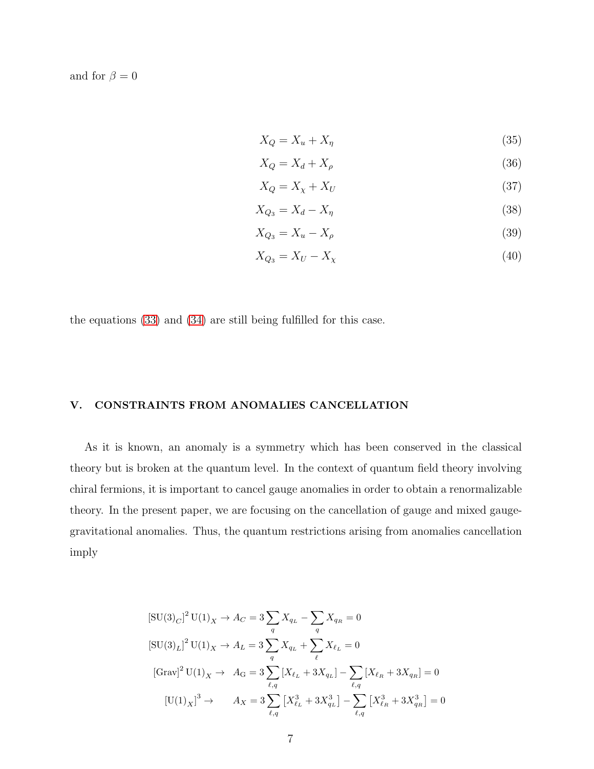and for  $\beta = 0$ 

<span id="page-6-0"></span>
$$
X_Q = X_u + X_\eta \tag{35}
$$

$$
X_Q = X_d + X_\rho \tag{36}
$$

$$
X_Q = X_\chi + X_U \tag{37}
$$

$$
X_{Q_3} = X_d - X_\eta \tag{38}
$$

$$
X_{Q_3} = X_u - X_\rho \tag{39}
$$

$$
X_{Q_3} = X_U - X_\chi \tag{40}
$$

the equations [\(33\)](#page-5-1) and [\(34\)](#page-5-1) are still being fulfilled for this case.

### V. CONSTRAINTS FROM ANOMALIES CANCELLATION

As it is known, an anomaly is a symmetry which has been conserved in the classical theory but is broken at the quantum level. In the context of quantum field theory involving chiral fermions, it is important to cancel gauge anomalies in order to obtain a renormalizable theory. In the present paper, we are focusing on the cancellation of gauge and mixed gaugegravitational anomalies. Thus, the quantum restrictions arising from anomalies cancellation imply

$$
[\text{SU}(3)_C]^2 \text{U}(1)_X \to A_C = 3 \sum_q X_{q_L} - \sum_q X_{q_R} = 0
$$
  
\n
$$
[\text{SU}(3)_L]^2 \text{U}(1)_X \to A_L = 3 \sum_q X_{q_L} + \sum_{\ell} X_{\ell_L} = 0
$$
  
\n
$$
[\text{Grav}]^2 \text{U}(1)_X \to A_G = 3 \sum_{\ell,q} [X_{\ell_L} + 3X_{q_L}] - \sum_{\ell,q} [X_{\ell_R} + 3X_{q_R}] = 0
$$
  
\n
$$
[\text{U}(1)_X]^3 \to A_X = 3 \sum_{\ell,q} [X_{\ell_L}^3 + 3X_{q_L}^3] - \sum_{\ell,q} [X_{\ell_R}^3 + 3X_{q_R}^3] = 0
$$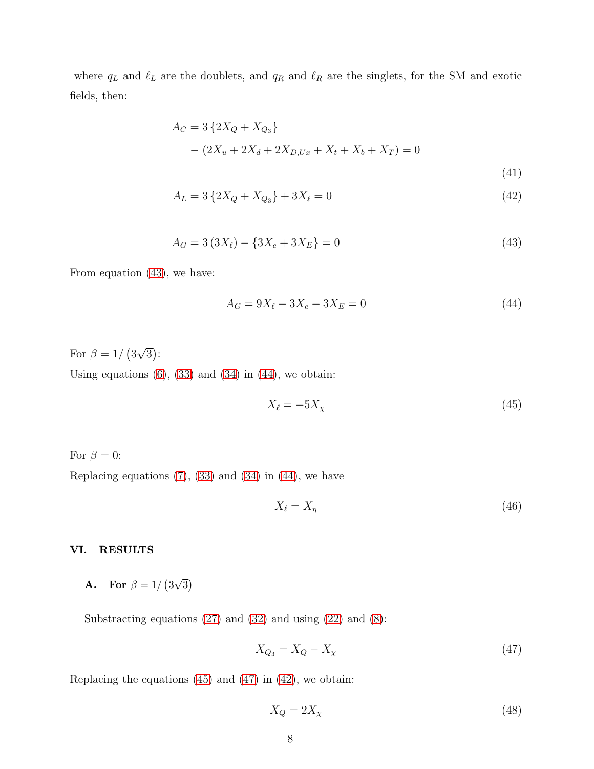where  $q_L$  and  $\ell_L$  are the doublets, and  $q_R$  and  $\ell_R$  are the singlets, for the SM and exotic fields, then:

<span id="page-7-0"></span>
$$
A_C = 3\left\{2X_Q + X_{Q_3}\right\}
$$
  
 
$$
- (2X_u + 2X_d + 2X_{D,Ux} + X_t + X_b + X_T) = 0
$$
  
(41)

$$
A_L = 3\left\{2X_Q + X_{Q_3}\right\} + 3X_\ell = 0\tag{42}
$$

$$
A_G = 3(3X_\ell) - \{3X_e + 3X_E\} = 0\tag{43}
$$

From equation [\(43\)](#page-7-0), we have:

<span id="page-7-1"></span>
$$
A_G = 9X_\ell - 3X_E - 3X_E = 0\tag{44}
$$

For  $\beta = 1/(3\sqrt{3})$ :

Using equations  $(6)$ ,  $(33)$  and  $(34)$  in  $(44)$ , we obtain:

<span id="page-7-2"></span>
$$
X_{\ell} = -5X_{\chi} \tag{45}
$$

For  $\beta = 0$ :

Replacing equations  $(7)$ ,  $(33)$  and  $(34)$  in  $(44)$ , we have

<span id="page-7-4"></span>
$$
X_{\ell} = X_{\eta} \tag{46}
$$

### VI. RESULTS

**A.** For  $\beta = 1/(3\sqrt{3})$ 

Substracting equations  $(27)$  and  $(32)$  and using  $(22)$  and  $(8)$ :

<span id="page-7-3"></span>
$$
X_{Q_3} = X_Q - X_\chi \tag{47}
$$

Replacing the equations  $(45)$  and  $(47)$  in  $(42)$ , we obtain:

$$
X_Q = 2X_\chi \tag{48}
$$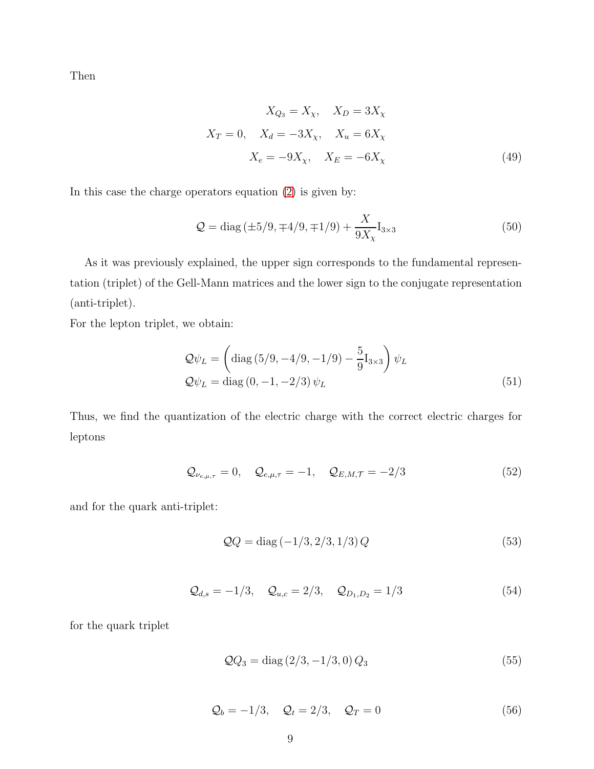Then

$$
X_{Q_3} = X_{\chi}, \quad X_D = 3X_{\chi}
$$
  

$$
X_T = 0, \quad X_d = -3X_{\chi}, \quad X_u = 6X_{\chi}
$$
  

$$
X_e = -9X_{\chi}, \quad X_E = -6X_{\chi}
$$
 (49)

In this case the charge operators equation [\(2\)](#page-2-1) is given by:

$$
Q = diag(\pm 5/9, \mp 4/9, \mp 1/9) + \frac{X}{9X_{\chi}} I_{3 \times 3}
$$
 (50)

As it was previously explained, the upper sign corresponds to the fundamental representation (triplet) of the Gell-Mann matrices and the lower sign to the conjugate representation (anti-triplet).

For the lepton triplet, we obtain:

$$
Q\psi_L = \left(\text{diag}\left(5/9, -4/9, -1/9\right) - \frac{5}{9}\mathbf{I}_{3\times3}\right)\psi_L
$$
  

$$
Q\psi_L = \text{diag}\left(0, -1, -2/3\right)\psi_L
$$
 (51)

Thus, we find the quantization of the electric charge with the correct electric charges for leptons

$$
Q_{\nu_{e,\mu,\tau}} = 0, \quad Q_{e,\mu,\tau} = -1, \quad Q_{E,M,\tau} = -2/3
$$
 (52)

and for the quark anti-triplet:

$$
QQ = diag(-1/3, 2/3, 1/3)Q
$$
\n(53)

$$
Q_{d,s} = -1/3, \quad Q_{u,c} = 2/3, \quad Q_{D_1,D_2} = 1/3
$$
 (54)

for the quark triplet

$$
QQ_3 = \text{diag}(2/3, -1/3, 0) Q_3 \tag{55}
$$

$$
\mathcal{Q}_b = -1/3, \quad \mathcal{Q}_t = 2/3, \quad \mathcal{Q}_T = 0 \tag{56}
$$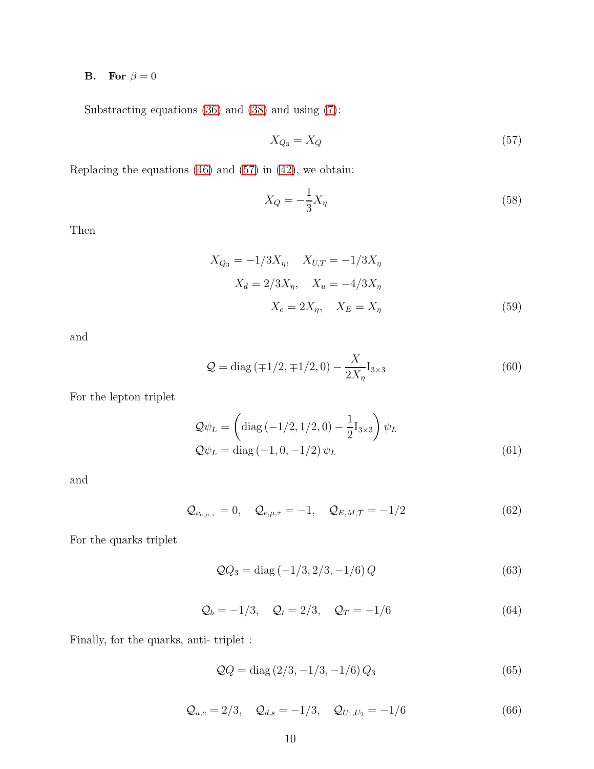# **B.** For  $\beta = 0$

Substracting equations [\(36\)](#page-6-0) and [\(38\)](#page-6-0) and using [\(7\)](#page-3-0):

<span id="page-9-0"></span>
$$
X_{Q_3} = X_Q \tag{57}
$$

Replacing the equations  $(46)$  and  $(57)$  in  $(42)$ , we obtain:

$$
X_Q = -\frac{1}{3}X_\eta \tag{58}
$$

Then

$$
X_{Q_3} = -1/3X_{\eta}, \quad X_{U,T} = -1/3X_{\eta}
$$

$$
X_d = 2/3X_{\eta}, \quad X_u = -4/3X_{\eta}
$$

$$
X_e = 2X_{\eta}, \quad X_E = X_{\eta}
$$
(59)

and

$$
Q = \text{diag}\left(\mp 1/2, \mp 1/2, 0\right) - \frac{X}{2X_{\eta}} I_{3 \times 3} \tag{60}
$$

For the lepton triplet

$$
Q\psi_L = \left(\text{diag}\left(-1/2, 1/2, 0\right) - \frac{1}{2}I_{3\times3}\right)\psi_L
$$
  

$$
Q\psi_L = \text{diag}\left(-1, 0, -1/2\right)\psi_L
$$
 (61)

and

$$
Q_{\nu_{e,\mu,\tau}} = 0, \quad Q_{e,\mu,\tau} = -1, \quad Q_{E,M,\tau} = -1/2
$$
 (62)

For the quarks triplet

$$
QQ_3 = diag(-1/3, 2/3, -1/6)Q
$$
\n(63)

$$
Q_b = -1/3, \quad Q_t = 2/3, \quad Q_T = -1/6
$$
 (64)

Finally, for the quarks, anti- triplet :

$$
QQ = diag(2/3, -1/3, -1/6)Q_3
$$
\n(65)

$$
Q_{u,c} = 2/3, \quad Q_{d,s} = -1/3, \quad Q_{U_1,U_2} = -1/6
$$
 (66)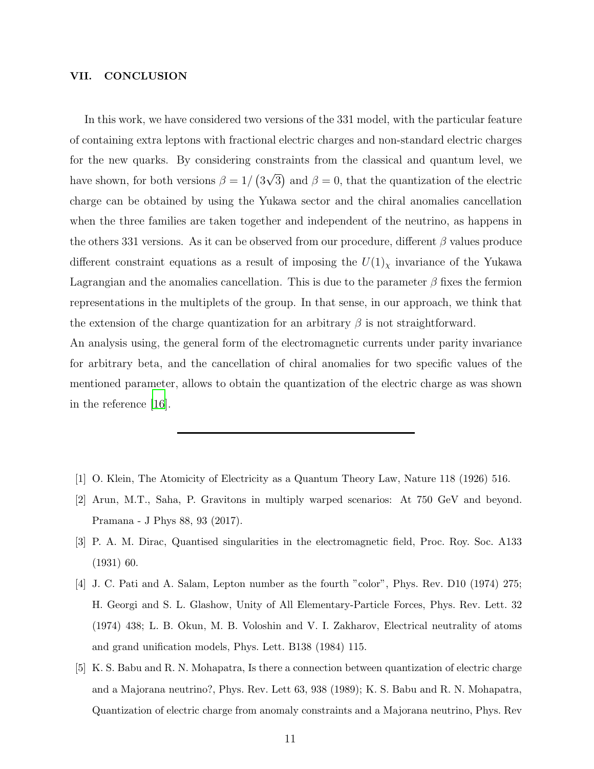### VII. CONCLUSION

In this work, we have considered two versions of the 331 model, with the particular feature of containing extra leptons with fractional electric charges and non-standard electric charges for the new quarks. By considering constraints from the classical and quantum level, we have shown, for both versions  $\beta = 1/(3\sqrt{3})$  and  $\beta = 0$ , that the quantization of the electric charge can be obtained by using the Yukawa sector and the chiral anomalies cancellation when the three families are taken together and independent of the neutrino, as happens in the others 331 versions. As it can be observed from our procedure, different  $\beta$  values produce different constraint equations as a result of imposing the  $U(1)_\chi$  invariance of the Yukawa Lagrangian and the anomalies cancellation. This is due to the parameter  $\beta$  fixes the fermion representations in the multiplets of the group. In that sense, in our approach, we think that the extension of the charge quantization for an arbitrary  $\beta$  is not straightforward.

An analysis using, the general form of the electromagnetic currents under parity invariance for arbitrary beta, and the cancellation of chiral anomalies for two specific values of the mentioned parameter, allows to obtain the quantization of the electric charge as was shown in the reference [\[16\]](#page-11-10).

- <span id="page-10-0"></span>[1] O. Klein, The Atomicity of Electricity as a Quantum Theory Law, Nature 118 (1926) 516.
- <span id="page-10-1"></span>[2] Arun, M.T., Saha, P. Gravitons in multiply warped scenarios: At 750 GeV and beyond. Pramana - J Phys 88, 93 (2017).
- <span id="page-10-2"></span>[3] P. A. M. Dirac, Quantised singularities in the electromagnetic field, Proc. Roy. Soc. A133 (1931) 60.
- <span id="page-10-3"></span>[4] J. C. Pati and A. Salam, Lepton number as the fourth "color", Phys. Rev. D10 (1974) 275; H. Georgi and S. L. Glashow, Unity of All Elementary-Particle Forces, Phys. Rev. Lett. 32 (1974) 438; L. B. Okun, M. B. Voloshin and V. I. Zakharov, Electrical neutrality of atoms and grand unification models, Phys. Lett. B138 (1984) 115.
- <span id="page-10-4"></span>[5] K. S. Babu and R. N. Mohapatra, Is there a connection between quantization of electric charge and a Majorana neutrino?, Phys. Rev. Lett 63, 938 (1989); K. S. Babu and R. N. Mohapatra, Quantization of electric charge from anomaly constraints and a Majorana neutrino, Phys. Rev